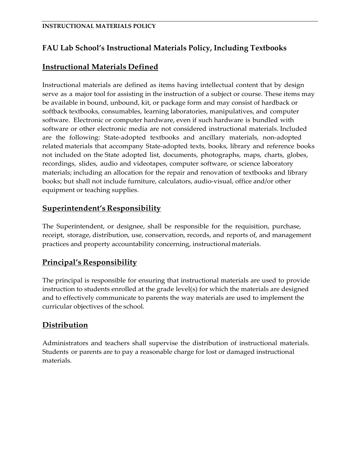# **FAU Lab School's Instructional Materials Policy, Including Textbooks**

## **Instructional Materials Defined**

Instructional materials are defined as items having intellectual content that by design serve as a major tool for assisting in the instruction of a subject or course. These items may be available in bound, unbound, kit, or package form and may consist of hardback or softback textbooks, consumables, learning laboratories, manipulatives, and computer software. Electronic or computer hardware, even if such hardware is bundled with software or other electronic media are not considered instructional materials. Included are the following: State-adopted textbooks and ancillary materials, non-adopted related materials that accompany State-adopted texts, books, library and reference books not included on the State adopted list, documents, photographs, maps, charts, globes, recordings, slides, audio and videotapes, computer software, or science laboratory materials; including an allocation for the repair and renovation of textbooks and library books; but shall not include furniture, calculators, audio-visual, office and/or other equipment or teaching supplies.

## **Superintendent's Responsibility**

The Superintendent, or designee, shall be responsible for the requisition, purchase, receipt, storage, distribution, use, conservation, records, and reports of, and management practices and property accountability concerning, instructionalmaterials.

## **Principal's Responsibility**

The principal is responsible for ensuring that instructional materials are used to provide instruction to students enrolled at the grade level(s) for which the materials are designed and to effectively communicate to parents the way materials are used to implement the curricular objectives of the school.

## **Distribution**

Administrators and teachers shall supervise the distribution of instructional materials. Students or parents are to pay a reasonable charge for lost or damaged instructional materials.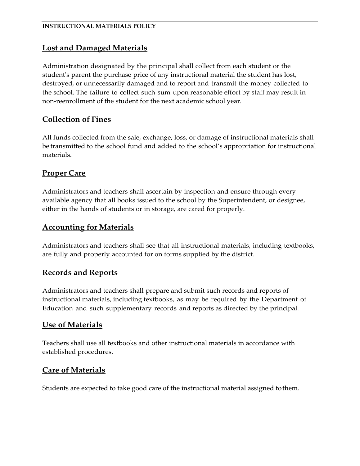### **Lost and Damaged Materials**

Administration designated by the principal shall collect from each student or the student's parent the purchase price of any instructional material the student has lost, destroyed, or unnecessarily damaged and to report and transmit the money collected to the school. The failure to collect such sum upon reasonable effort by staff may result in non-reenrollment of the student for the next academic school year.

### **Collection of Fines**

All funds collected from the sale, exchange, loss, or damage of instructional materials shall be transmitted to the school fund and added to the school's appropriation for instructional materials.

## **Proper Care**

Administrators and teachers shall ascertain by inspection and ensure through every available agency that all books issued to the school by the Superintendent, or designee, either in the hands of students or in storage, are cared for properly.

### **Accounting for Materials**

Administrators and teachers shall see that all instructional materials, including textbooks, are fully and properly accounted for on forms supplied by the district.

#### **Records and Reports**

Administrators and teachers shall prepare and submit such records and reports of instructional materials, including textbooks, as may be required by the Department of Education and such supplementary records and reports as directed by the principal.

#### **Use of Materials**

Teachers shall use all textbooks and other instructional materials in accordance with established procedures.

### **Care of Materials**

Students are expected to take good care of the instructional material assigned tothem.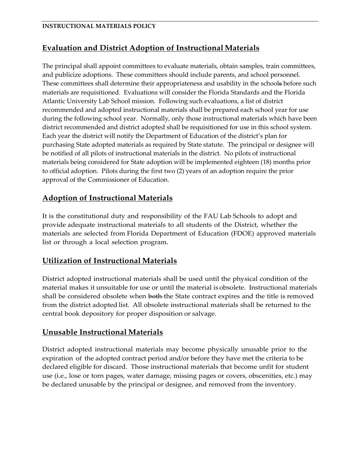## **Evaluation and District Adoption of Instructional Materials**

The principal shall appoint committees to evaluate materials, obtain samples, train committees, and publicize adoptions. These committees should include parents, and school personnel. These committees shall determine their appropriateness and usability in the schools before such materials are requisitioned. Evaluations will consider the Florida Standards and the Florida Atlantic University Lab School mission. Following such evaluations, a list of district recommended and adopted instructional materials shall be prepared each school year for use during the following school year. Normally, only those instructional materials which have been district recommended and district adopted shall be requisitioned for use in this school system. Each year the district will notify the Department of Education of the district's plan for purchasing State adopted materials as required by State statute. The principal or designee will be notified of all pilots of instructional materials in the district. No pilots of instructional materials being considered for State adoption will be implemented eighteen (18) months prior to official adoption. Pilots during the first two (2) years of an adoption require the prior approval of the Commissioner of Education.

## **Adoption of Instructional Materials**

It is the constitutional duty and responsibility of the FAU Lab Schools to adopt and provide adequate instructional materials to all students of the District, whether the materials are selected from Florida Department of Education (FDOE) approved materials list or through a local selection program.

## **Utilization of Instructional Materials**

District adopted instructional materials shall be used until the physical condition of the material makes it unsuitable for use or until the material is obsolete. Instructional materials shall be considered obsolete when both the State contract expires and the title is removed from the district adopted list. All obsolete instructional materials shall be returned to the central book depository for proper disposition or salvage.

### **Unusable Instructional Materials**

District adopted instructional materials may become physically unusable prior to the expiration of the adopted contract period and/or before they have met the criteria to be declared eligible for discard. Those instructional materials that become unfit for student use (i.e., lose or torn pages, water damage, missing pages or covers, obscenities, etc.) may be declared unusable by the principal or designee, and removed from the inventory.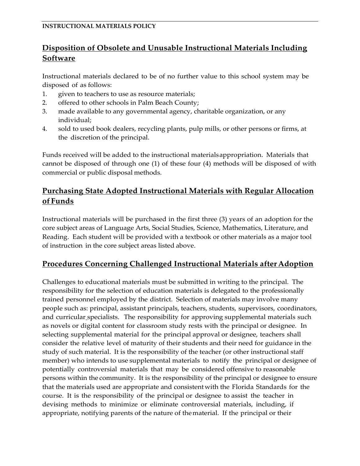# **Disposition of Obsolete and Unusable Instructional Materials Including Software**

Instructional materials declared to be of no further value to this school system may be disposed of as follows:

- 1. given to teachers to use as resource materials;
- 2. offered to other schools in Palm Beach County;
- 3. made available to any governmental agency, charitable organization, or any individual;
- 4. sold to used book dealers, recycling plants, pulp mills, or other persons or firms, at the discretion of the principal.

Funds received will be added to the instructional materialsappropriation. Materials that cannot be disposed of through one (1) of these four (4) methods will be disposed of with commercial or public disposal methods.

## **Purchasing State Adopted Instructional Materials with Regular Allocation of Funds**

Instructional materials will be purchased in the first three (3) years of an adoption for the core subject areas of Language Arts, Social Studies, Science, Mathematics, Literature, and Reading. Each student will be provided with a textbook or other materials as a major tool of instruction in the core subject areas listed above.

### **Procedures Concerning Challenged Instructional Materials after Adoption**

Challenges to educational materials must be submitted in writing to the principal. The responsibility for the selection of education materials is delegated to the professionally trained personnel employed by the district. Selection of materials may involve many people such as: principal, assistant principals, teachers, students, supervisors, coordinators, and curricular specialists. The responsibility for approving supplemental materials such as novels or digital content for classroom study rests with the principal or designee. In selecting supplemental material for the principal approval or designee, teachers shall consider the relative level of maturity of their students and their need for guidance in the study of such material. It is the responsibility of the teacher (or other instructional staff member) who intends to use supplemental materials to notify the principal or designee of potentially controversial materials that may be considered offensive to reasonable persons within the community. It is the responsibility of the principal or designee to ensure that the materials used are appropriate and consistentwith the Florida Standards for the course. It is the responsibility of the principal or designee to assist the teacher in devising methods to minimize or eliminate controversial materials, including, if appropriate, notifying parents of the nature of thematerial. If the principal or their